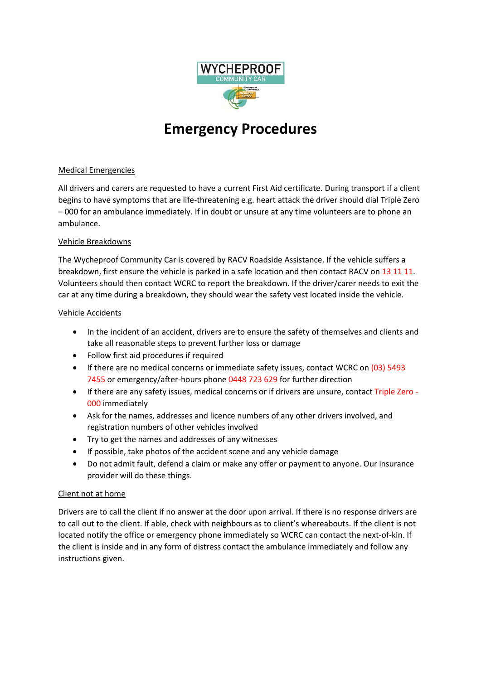

# **Emergency Procedures**

## Medical Emergencies

All drivers and carers are requested to have a current First Aid certificate. During transport if a client begins to have symptoms that are life-threatening e.g. heart attack the driver should dial Triple Zero – 000 for an ambulance immediately. If in doubt or unsure at any time volunteers are to phone an ambulance.

## Vehicle Breakdowns

The Wycheproof Community Car is covered by RACV Roadside Assistance. If the vehicle suffers a breakdown, first ensure the vehicle is parked in a safe location and then contact RACV on 13 11 11. Volunteers should then contact WCRC to report the breakdown. If the driver/carer needs to exit the car at any time during a breakdown, they should wear the safety vest located inside the vehicle.

### Vehicle Accidents

- In the incident of an accident, drivers are to ensure the safety of themselves and clients and take all reasonable steps to prevent further loss or damage
- Follow first aid procedures if required
- If there are no medical concerns or immediate safety issues, contact WCRC on (03) 5493 7455 or emergency/after-hours phone 0448 723 629 for further direction
- If there are any safety issues, medical concerns or if drivers are unsure, contact Triple Zero 000 immediately
- Ask for the names, addresses and licence numbers of any other drivers involved, and registration numbers of other vehicles involved
- Try to get the names and addresses of any witnesses
- If possible, take photos of the accident scene and any vehicle damage
- Do not admit fault, defend a claim or make any offer or payment to anyone. Our insurance provider will do these things.

## Client not at home

Drivers are to call the client if no answer at the door upon arrival. If there is no response drivers are to call out to the client. If able, check with neighbours as to client's whereabouts. If the client is not located notify the office or emergency phone immediately so WCRC can contact the next-of-kin. If the client is inside and in any form of distress contact the ambulance immediately and follow any instructions given.